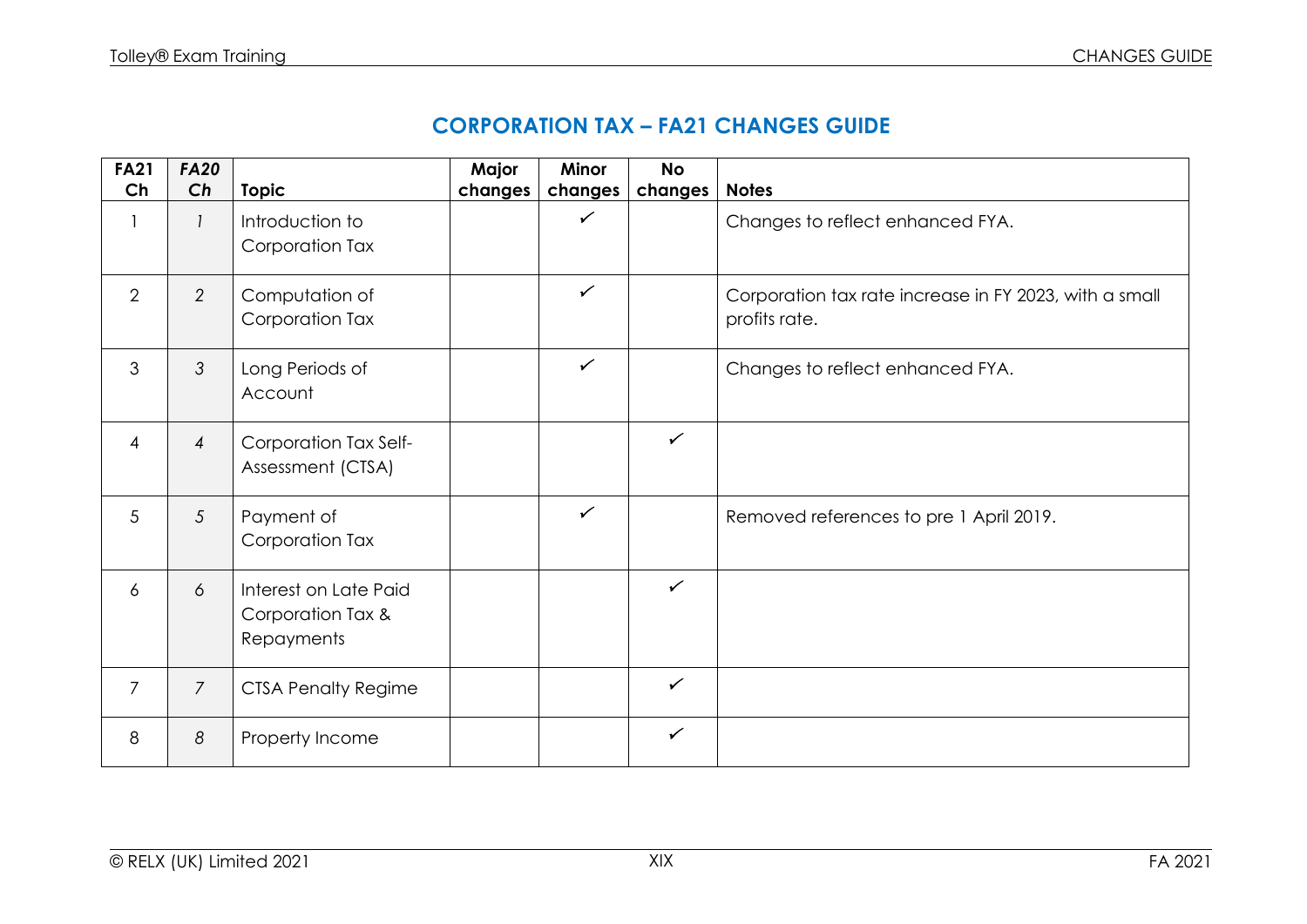## **CORPORATION TAX – FA21 CHANGES GUIDE**

| <b>FA21</b><br>Ch | <b>FA20</b><br>Ch | <b>Topic</b>                                             | Major<br>changes | <b>Minor</b><br>changes | <b>No</b><br>changes | <b>Notes</b>                                                            |
|-------------------|-------------------|----------------------------------------------------------|------------------|-------------------------|----------------------|-------------------------------------------------------------------------|
|                   |                   | Introduction to<br>Corporation Tax                       |                  | ✓                       |                      | Changes to reflect enhanced FYA.                                        |
| $\overline{2}$    | $\overline{2}$    | Computation of<br>Corporation Tax                        |                  | $\checkmark$            |                      | Corporation tax rate increase in FY 2023, with a small<br>profits rate. |
| 3                 | 3                 | Long Periods of<br>Account                               |                  | $\checkmark$            |                      | Changes to reflect enhanced FYA.                                        |
| $\overline{4}$    | $\overline{4}$    | Corporation Tax Self-<br>Assessment (CTSA)               |                  |                         | $\checkmark$         |                                                                         |
| 5                 | 5                 | Payment of<br>Corporation Tax                            |                  | $\checkmark$            |                      | Removed references to pre 1 April 2019.                                 |
| 6                 | 6                 | Interest on Late Paid<br>Corporation Tax &<br>Repayments |                  |                         | $\checkmark$         |                                                                         |
| $\overline{7}$    | $\overline{7}$    | <b>CTSA Penalty Regime</b>                               |                  |                         | $\checkmark$         |                                                                         |
| 8                 | 8                 | Property Income                                          |                  |                         | $\checkmark$         |                                                                         |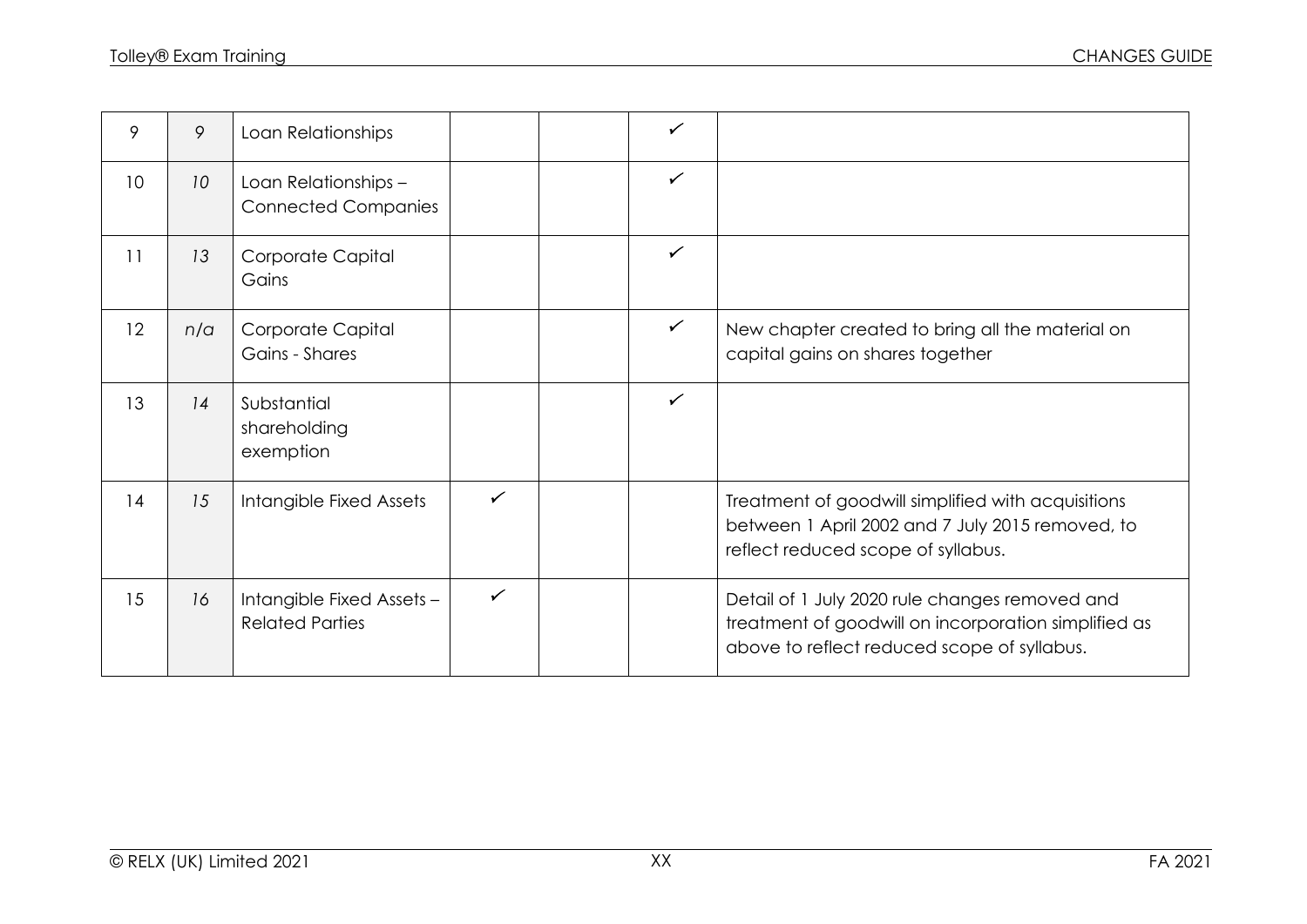| 9               | 9               | Loan Relationships                                  |              | $\checkmark$ |                                                                                                                                                       |
|-----------------|-----------------|-----------------------------------------------------|--------------|--------------|-------------------------------------------------------------------------------------------------------------------------------------------------------|
| 10 <sup>°</sup> | 10 <sup>°</sup> | Loan Relationships -<br><b>Connected Companies</b>  |              | $\checkmark$ |                                                                                                                                                       |
| 11              | 13              | Corporate Capital<br>Gains                          |              | $\checkmark$ |                                                                                                                                                       |
| 12              | n/a             | Corporate Capital<br>Gains - Shares                 |              | $\checkmark$ | New chapter created to bring all the material on<br>capital gains on shares together                                                                  |
| 13              | 14              | Substantial<br>shareholding<br>exemption            |              | $\checkmark$ |                                                                                                                                                       |
| 14              | 15              | Intangible Fixed Assets                             | ✓            |              | Treatment of goodwill simplified with acquisitions<br>between 1 April 2002 and 7 July 2015 removed, to<br>reflect reduced scope of syllabus.          |
| 15              | 16              | Intangible Fixed Assets -<br><b>Related Parties</b> | $\checkmark$ |              | Detail of 1 July 2020 rule changes removed and<br>treatment of goodwill on incorporation simplified as<br>above to reflect reduced scope of syllabus. |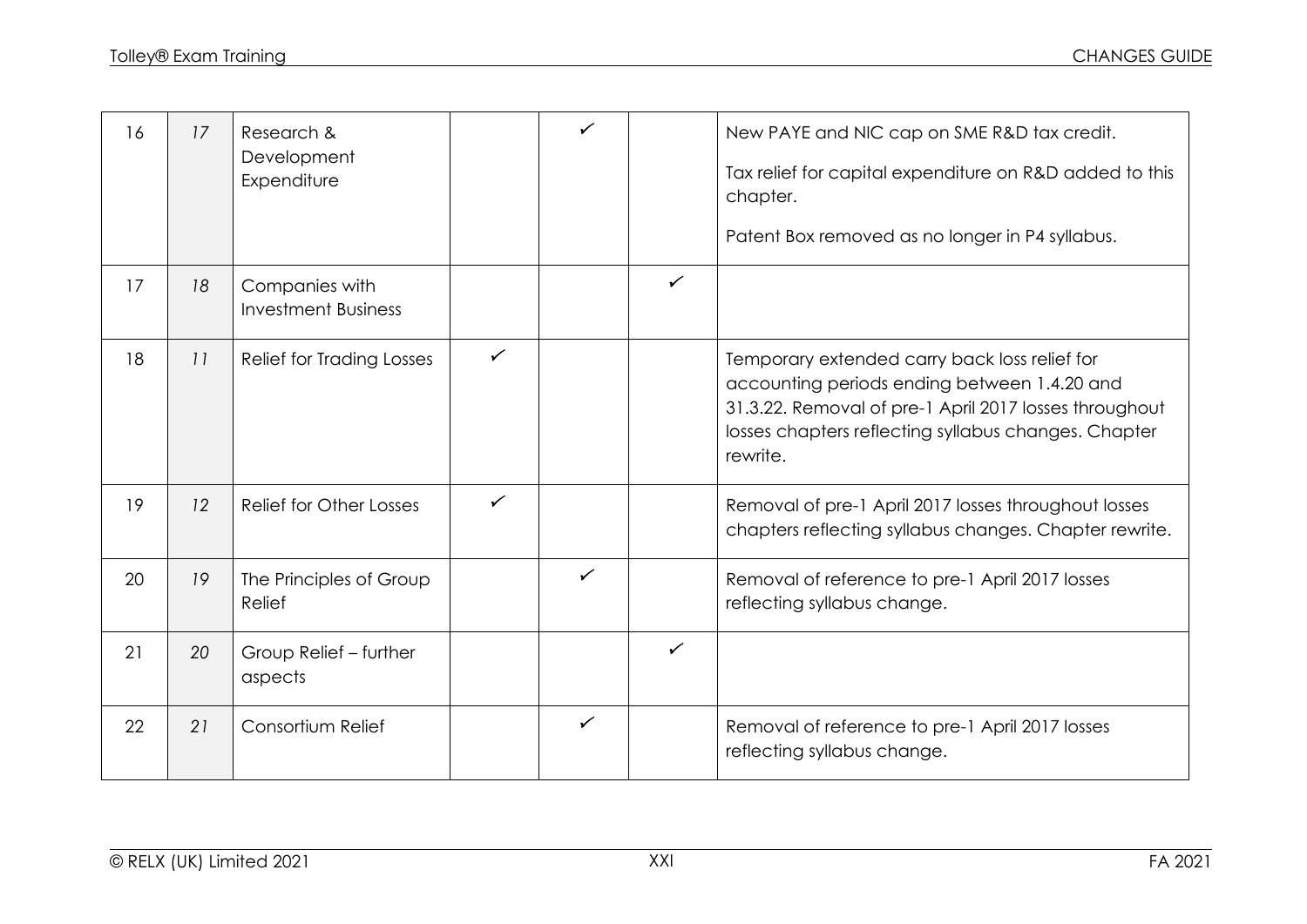| 16 | 17 | Research &<br>Development<br>Expenditure     |              | ✓            |              | New PAYE and NIC cap on SME R&D tax credit.<br>Tax relief for capital expenditure on R&D added to this<br>chapter.<br>Patent Box removed as no longer in P4 syllabus.                                                       |
|----|----|----------------------------------------------|--------------|--------------|--------------|-----------------------------------------------------------------------------------------------------------------------------------------------------------------------------------------------------------------------------|
| 17 | 18 | Companies with<br><b>Investment Business</b> |              |              | ✓            |                                                                                                                                                                                                                             |
| 18 | 11 | <b>Relief for Trading Losses</b>             | $\checkmark$ |              |              | Temporary extended carry back loss relief for<br>accounting periods ending between 1.4.20 and<br>31.3.22. Removal of pre-1 April 2017 losses throughout<br>losses chapters reflecting syllabus changes. Chapter<br>rewrite. |
| 19 | 12 | Relief for Other Losses                      | $\checkmark$ |              |              | Removal of pre-1 April 2017 losses throughout losses<br>chapters reflecting syllabus changes. Chapter rewrite.                                                                                                              |
| 20 | 19 | The Principles of Group<br>Relief            |              | $\checkmark$ |              | Removal of reference to pre-1 April 2017 losses<br>reflecting syllabus change.                                                                                                                                              |
| 21 | 20 | Group Relief - further<br>aspects            |              |              | $\checkmark$ |                                                                                                                                                                                                                             |
| 22 | 21 | Consortium Relief                            |              | $\checkmark$ |              | Removal of reference to pre-1 April 2017 losses<br>reflecting syllabus change.                                                                                                                                              |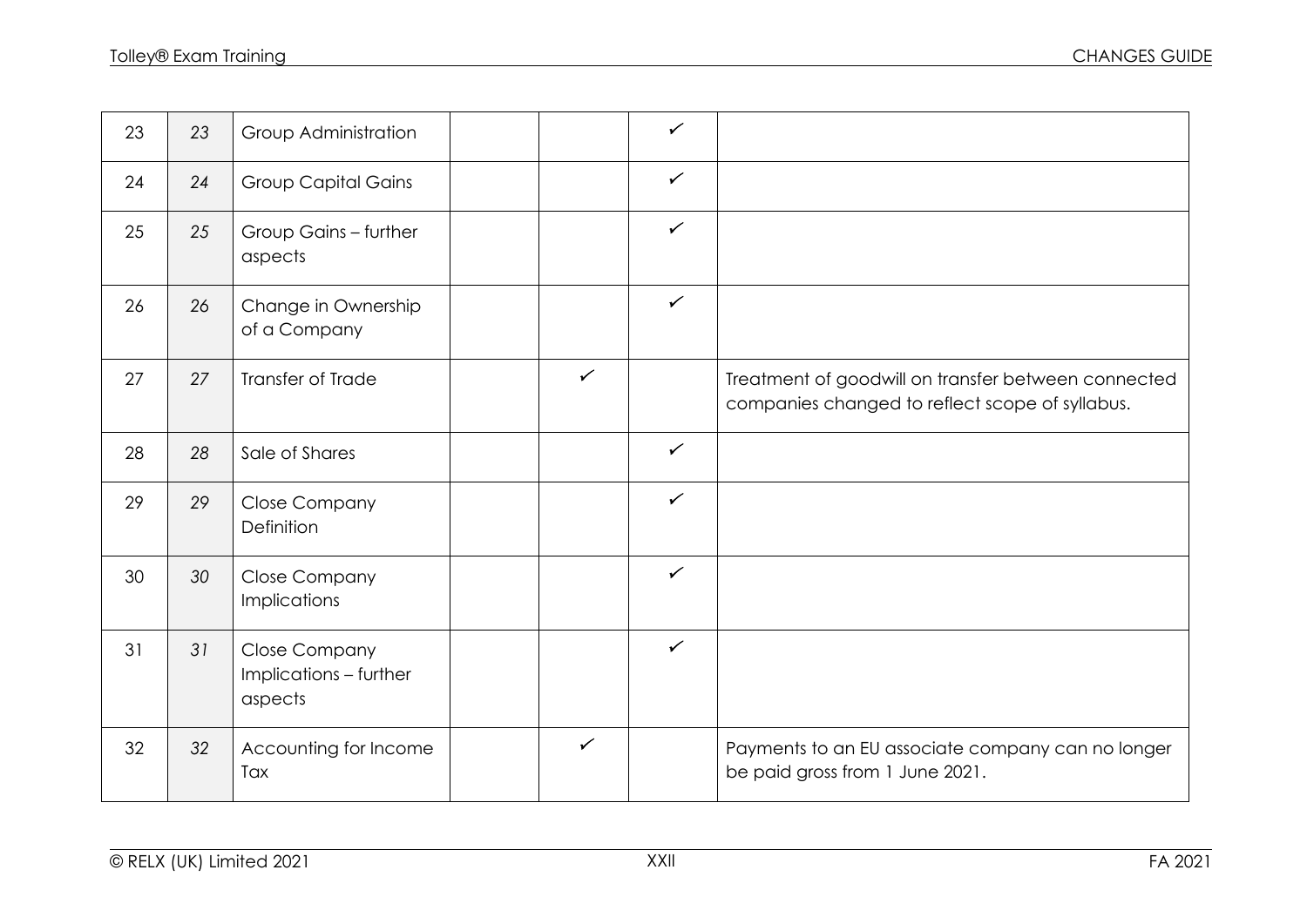| 23 | 23 | Group Administration                                      |              | $\checkmark$ |                                                                                                        |
|----|----|-----------------------------------------------------------|--------------|--------------|--------------------------------------------------------------------------------------------------------|
| 24 | 24 | <b>Group Capital Gains</b>                                |              | $\checkmark$ |                                                                                                        |
| 25 | 25 | Group Gains - further<br>aspects                          |              | $\checkmark$ |                                                                                                        |
| 26 | 26 | Change in Ownership<br>of a Company                       |              | $\checkmark$ |                                                                                                        |
| 27 | 27 | Transfer of Trade                                         | $\checkmark$ |              | Treatment of goodwill on transfer between connected<br>companies changed to reflect scope of syllabus. |
| 28 | 28 | Sale of Shares                                            |              | $\checkmark$ |                                                                                                        |
| 29 | 29 | <b>Close Company</b><br>Definition                        |              | $\checkmark$ |                                                                                                        |
| 30 | 30 | <b>Close Company</b><br><b>Implications</b>               |              | $\checkmark$ |                                                                                                        |
| 31 | 31 | <b>Close Company</b><br>Implications - further<br>aspects |              | $\checkmark$ |                                                                                                        |
| 32 | 32 | Accounting for Income<br>Tax                              | $\checkmark$ |              | Payments to an EU associate company can no longer<br>be paid gross from 1 June 2021.                   |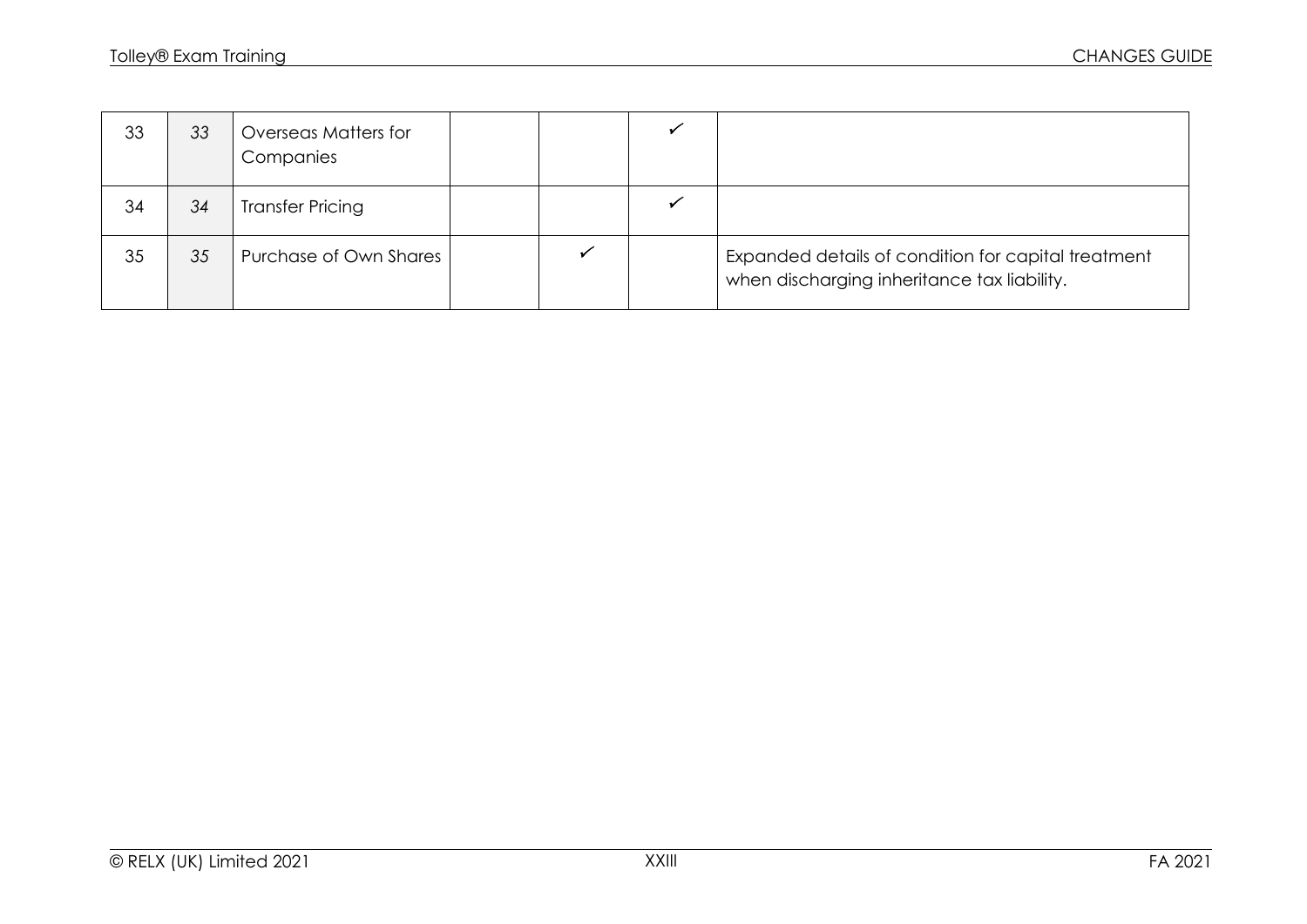| 33 | 33 | Overseas Matters for<br>Companies |  |                                                                                                    |
|----|----|-----------------------------------|--|----------------------------------------------------------------------------------------------------|
| 34 | 34 | <b>Transfer Pricing</b>           |  |                                                                                                    |
| 35 | 35 | Purchase of Own Shares            |  | Expanded details of condition for capital treatment<br>when discharging inheritance tax liability. |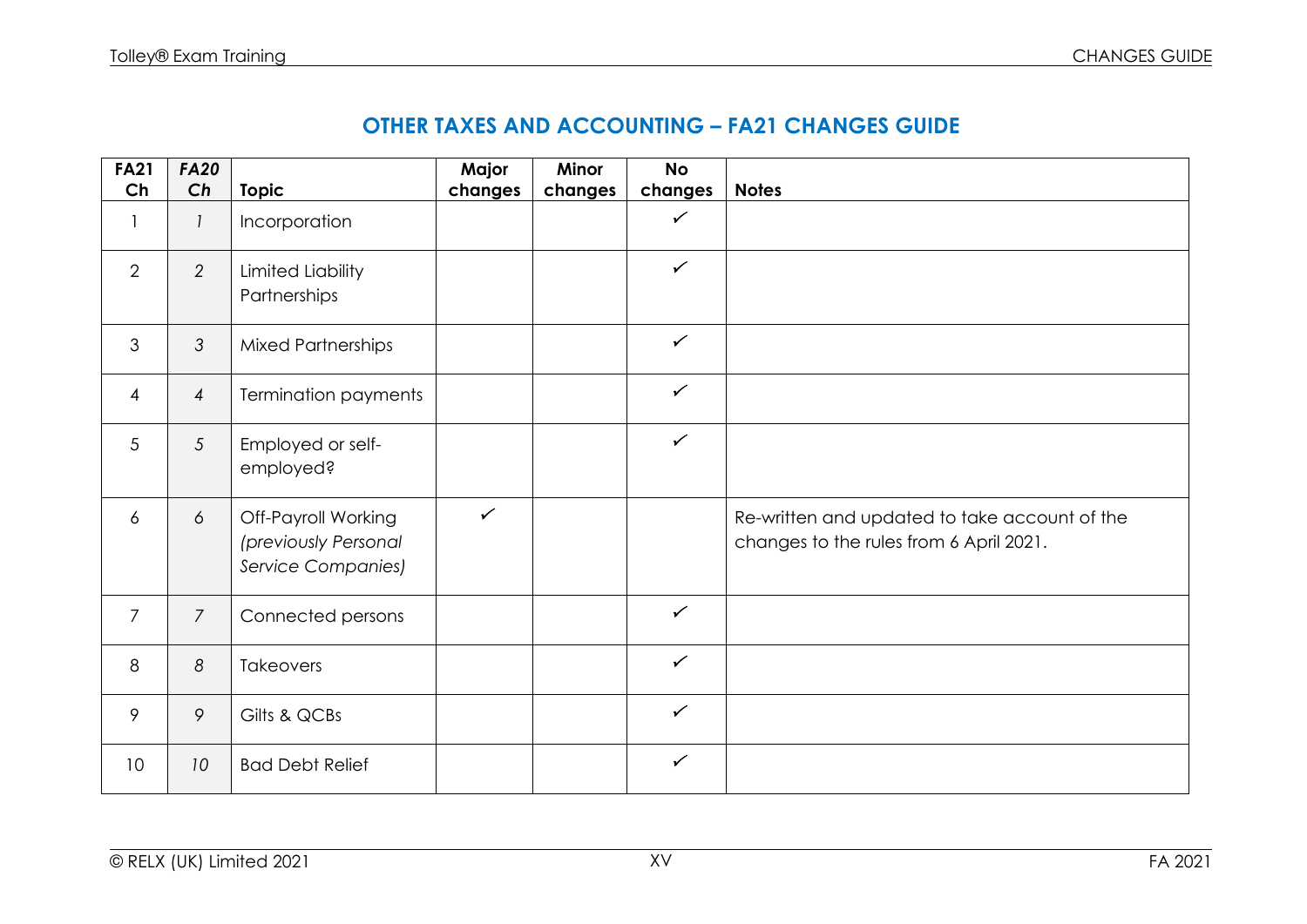| <b>FA21</b><br>Ch | <b>FA20</b><br>Ch | <b>Topic</b>                                                      | Major<br>changes | Minor<br>changes | <b>No</b><br>changes | <b>Notes</b>                                                                             |
|-------------------|-------------------|-------------------------------------------------------------------|------------------|------------------|----------------------|------------------------------------------------------------------------------------------|
| 1                 | $\mathbf{I}$      | Incorporation                                                     |                  |                  | $\checkmark$         |                                                                                          |
| 2                 | $\overline{2}$    | <b>Limited Liability</b><br>Partnerships                          |                  |                  | $\checkmark$         |                                                                                          |
| 3                 | 3                 | <b>Mixed Partnerships</b>                                         |                  |                  | $\checkmark$         |                                                                                          |
| $\overline{4}$    | $\overline{4}$    | Termination payments                                              |                  |                  | $\checkmark$         |                                                                                          |
| 5                 | 5                 | Employed or self-<br>employed?                                    |                  |                  | $\checkmark$         |                                                                                          |
| 6                 | 6                 | Off-Payroll Working<br>(previously Personal<br>Service Companies) | $\checkmark$     |                  |                      | Re-written and updated to take account of the<br>changes to the rules from 6 April 2021. |
| $\overline{7}$    | $\overline{7}$    | Connected persons                                                 |                  |                  | $\checkmark$         |                                                                                          |
| 8                 | 8                 | Takeovers                                                         |                  |                  | $\checkmark$         |                                                                                          |
| 9                 | 9                 | Gilts & QCBs                                                      |                  |                  | $\checkmark$         |                                                                                          |
| 10                | 10                | <b>Bad Debt Relief</b>                                            |                  |                  | $\checkmark$         |                                                                                          |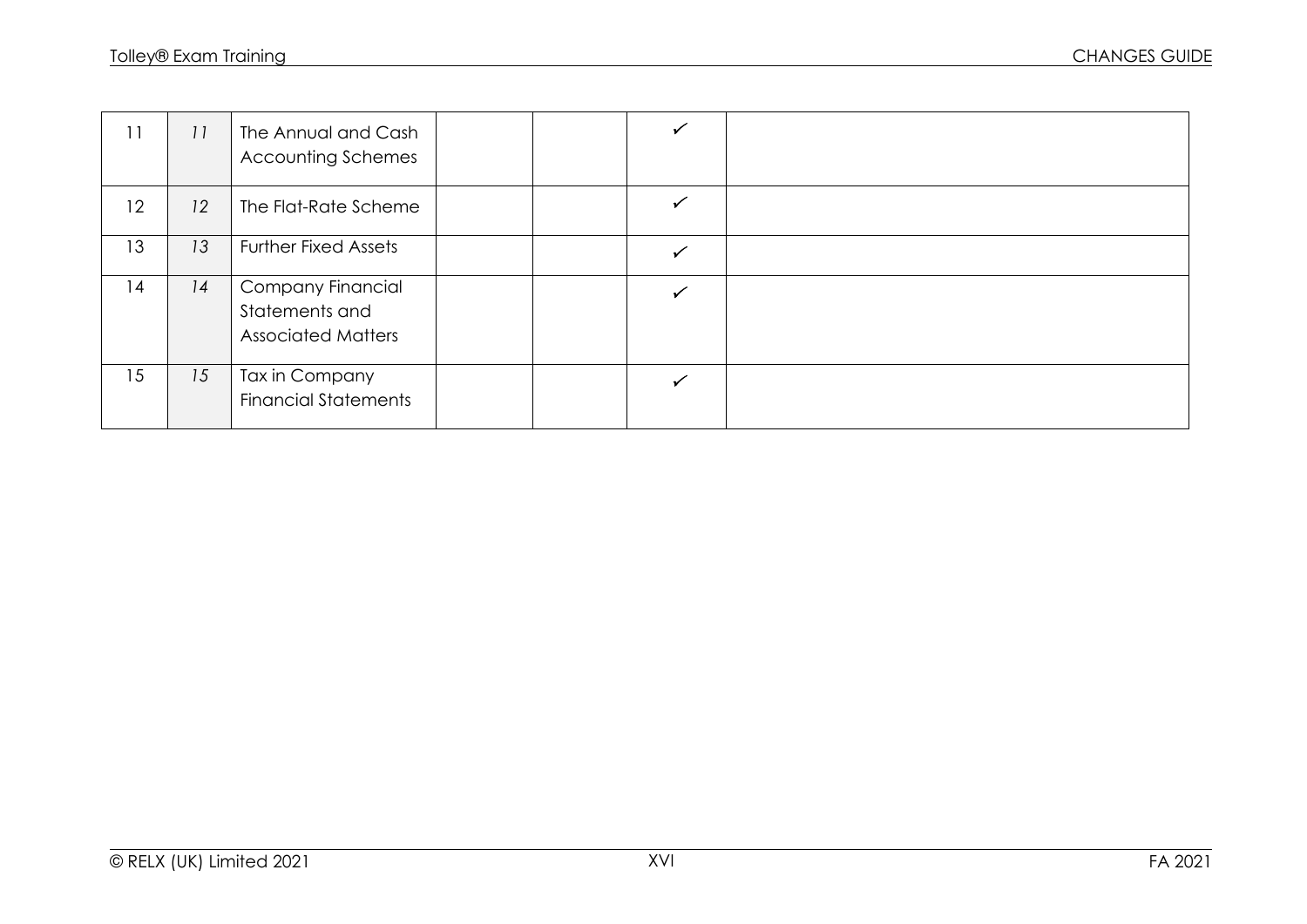| 11 | 11 | The Annual and Cash<br><b>Accounting Schemes</b>                 |  |  |
|----|----|------------------------------------------------------------------|--|--|
| 12 | 12 | The Flat-Rate Scheme                                             |  |  |
| 13 | 13 | <b>Further Fixed Assets</b>                                      |  |  |
| 14 | 14 | Company Financial<br>Statements and<br><b>Associated Matters</b> |  |  |
| 15 | 15 | Tax in Company<br><b>Financial Statements</b>                    |  |  |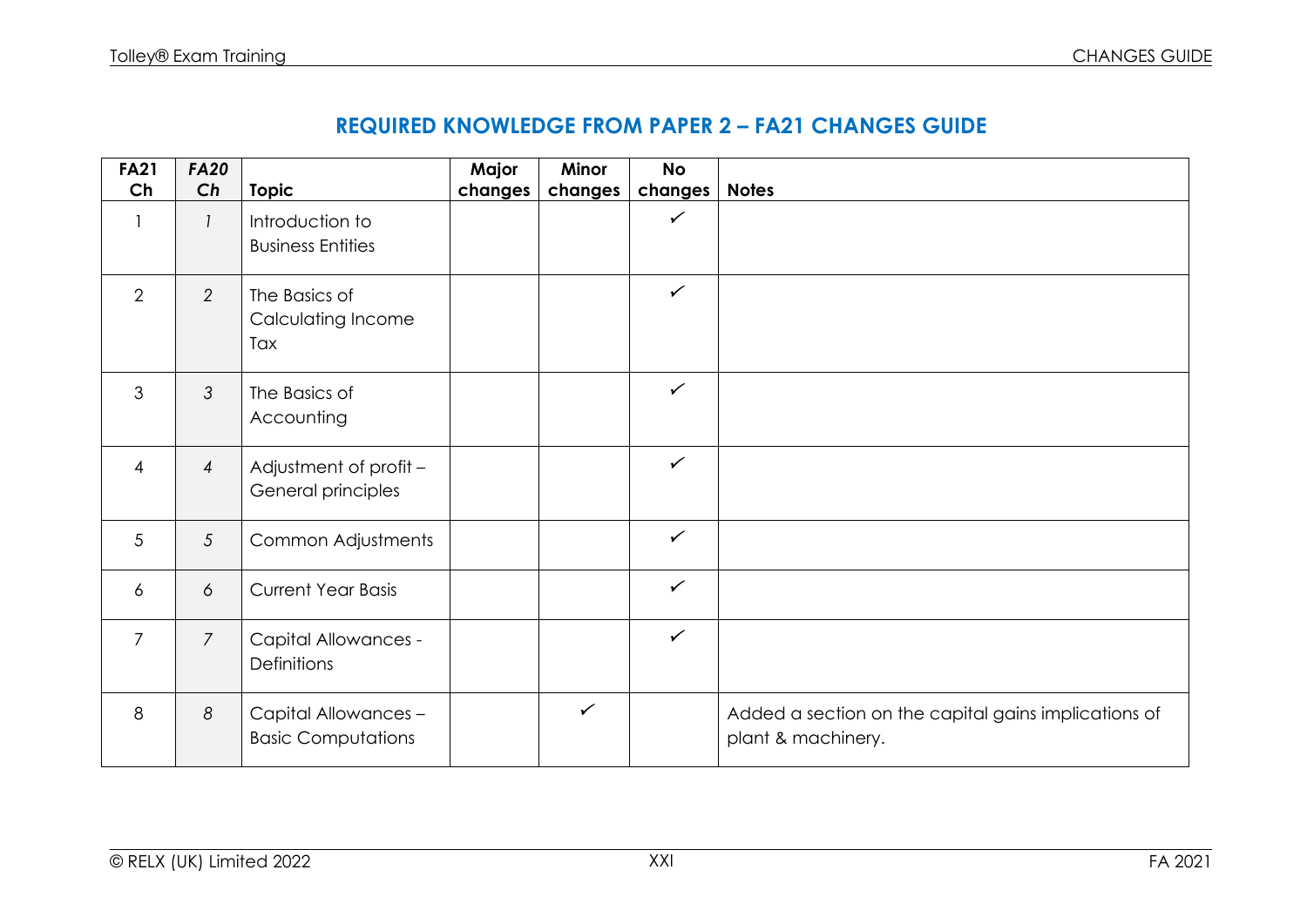| <b>FA21</b>     | <b>FA20</b>     |                                                   | Major   | Minor        | <b>No</b>    |                                                                            |
|-----------------|-----------------|---------------------------------------------------|---------|--------------|--------------|----------------------------------------------------------------------------|
| Ch              | Ch              | <b>Topic</b>                                      | changes | changes      | changes      | <b>Notes</b>                                                               |
|                 | 1               | Introduction to<br><b>Business Entities</b>       |         |              | $\checkmark$ |                                                                            |
| $\overline{2}$  | $\overline{2}$  | The Basics of<br>Calculating Income<br>Tax        |         |              | $\checkmark$ |                                                                            |
| 3               | $\mathfrak{Z}$  | The Basics of<br>Accounting                       |         |              | $\checkmark$ |                                                                            |
| $\overline{4}$  | $\overline{4}$  | Adjustment of profit -<br>General principles      |         |              | $\checkmark$ |                                                                            |
| $5\phantom{.0}$ | $5\overline{)}$ | Common Adjustments                                |         |              | $\checkmark$ |                                                                            |
| 6               | 6               | <b>Current Year Basis</b>                         |         |              | $\checkmark$ |                                                                            |
| $\overline{7}$  | $\overline{7}$  | <b>Capital Allowances -</b><br>Definitions        |         |              | $\checkmark$ |                                                                            |
| 8               | 8               | Capital Allowances -<br><b>Basic Computations</b> |         | $\checkmark$ |              | Added a section on the capital gains implications of<br>plant & machinery. |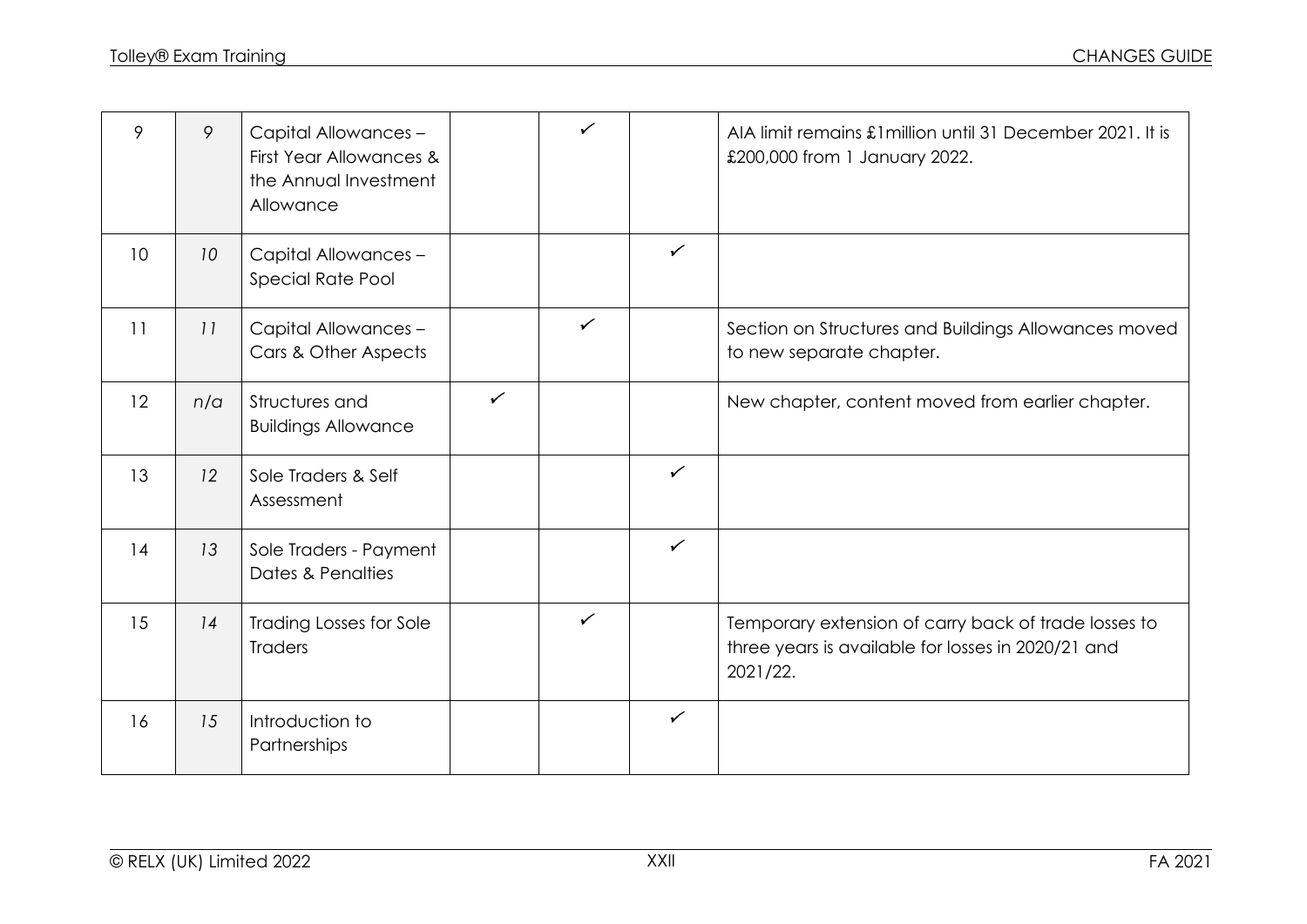| 9  | 9   | Capital Allowances -<br>First Year Allowances &<br>the Annual Investment<br>Allowance |              | $\checkmark$ |              | AIA limit remains £1 million until 31 December 2021. It is<br>£200,000 from 1 January 2022.                            |
|----|-----|---------------------------------------------------------------------------------------|--------------|--------------|--------------|------------------------------------------------------------------------------------------------------------------------|
| 10 | 10  | Capital Allowances -<br>Special Rate Pool                                             |              |              | $\checkmark$ |                                                                                                                        |
| 11 | 11  | Capital Allowances -<br>Cars & Other Aspects                                          |              | $\checkmark$ |              | Section on Structures and Buildings Allowances moved<br>to new separate chapter.                                       |
| 12 | n/a | Structures and<br><b>Buildings Allowance</b>                                          | $\checkmark$ |              |              | New chapter, content moved from earlier chapter.                                                                       |
| 13 | 12  | Sole Traders & Self<br>Assessment                                                     |              |              | $\checkmark$ |                                                                                                                        |
| 14 | 13  | Sole Traders - Payment<br>Dates & Penalties                                           |              |              | $\checkmark$ |                                                                                                                        |
| 15 | 14  | <b>Trading Losses for Sole</b><br><b>Traders</b>                                      |              | $\checkmark$ |              | Temporary extension of carry back of trade losses to<br>three years is available for losses in 2020/21 and<br>2021/22. |
| 16 | 15  | Introduction to<br>Partnerships                                                       |              |              | $\checkmark$ |                                                                                                                        |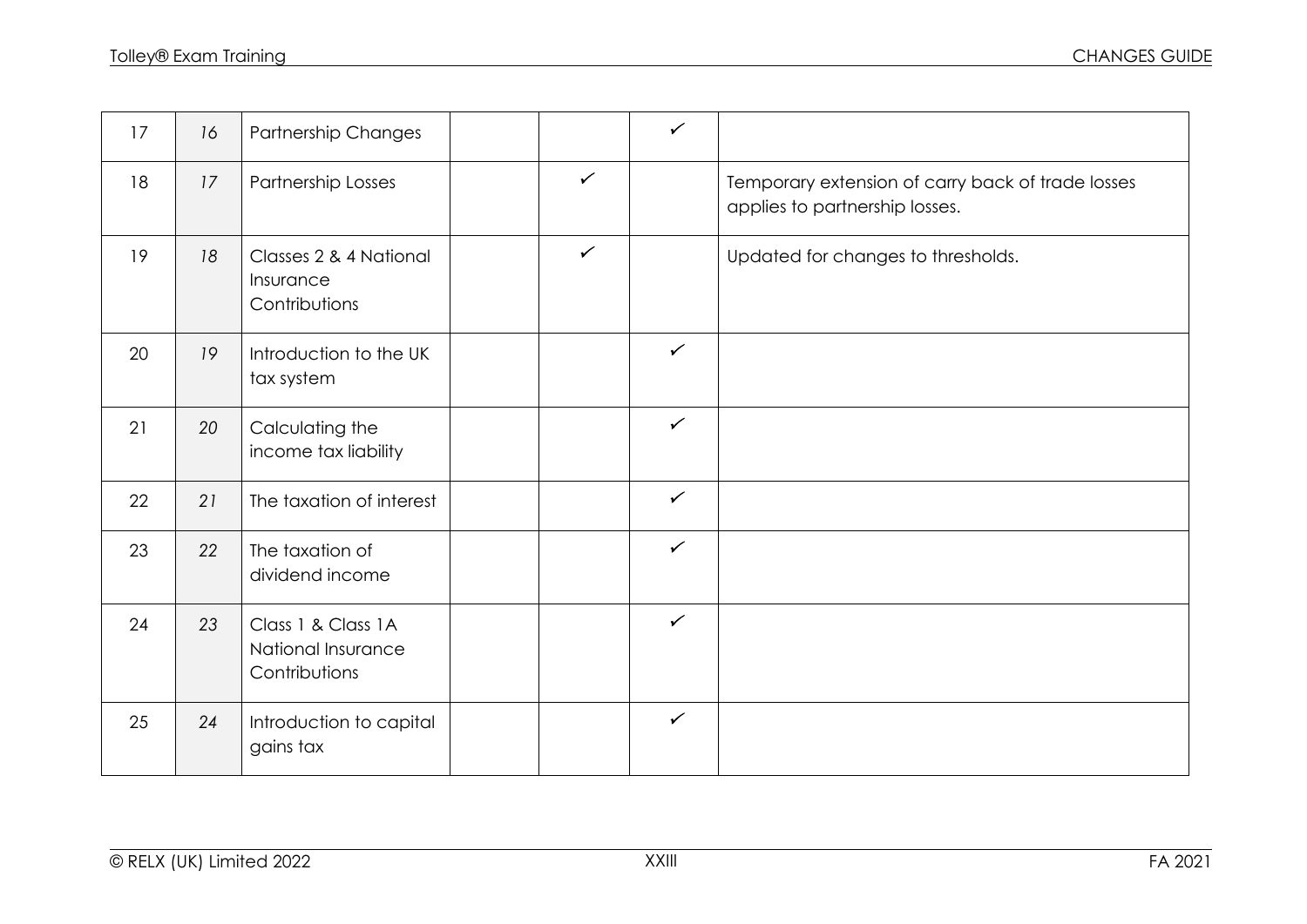| 17 | 16 | Partnership Changes                                        |              | $\checkmark$ |                                                                                     |
|----|----|------------------------------------------------------------|--------------|--------------|-------------------------------------------------------------------------------------|
| 18 | 17 | Partnership Losses                                         | $\checkmark$ |              | Temporary extension of carry back of trade losses<br>applies to partnership losses. |
| 19 | 18 | Classes 2 & 4 National<br>Insurance<br>Contributions       | $\checkmark$ |              | Updated for changes to thresholds.                                                  |
| 20 | 19 | Introduction to the UK<br>tax system                       |              | $\checkmark$ |                                                                                     |
| 21 | 20 | Calculating the<br>income tax liability                    |              | $\checkmark$ |                                                                                     |
| 22 | 21 | The taxation of interest                                   |              | $\checkmark$ |                                                                                     |
| 23 | 22 | The taxation of<br>dividend income                         |              | $\checkmark$ |                                                                                     |
| 24 | 23 | Class 1 & Class 1 A<br>National Insurance<br>Contributions |              | $\checkmark$ |                                                                                     |
| 25 | 24 | Introduction to capital<br>gains tax                       |              | $\checkmark$ |                                                                                     |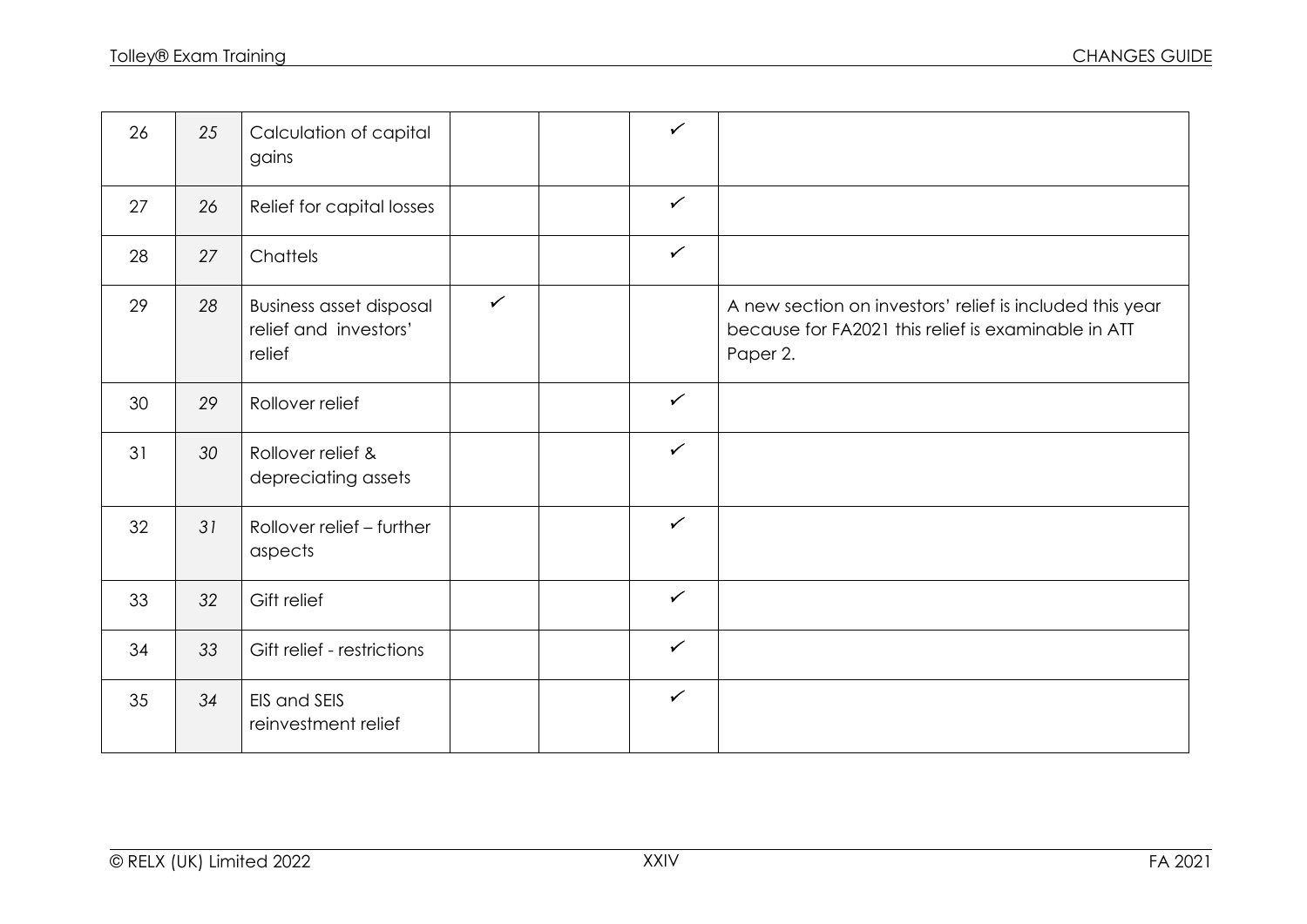| 26 | 25              | Calculation of capital<br>gains                                   |              | $\checkmark$ |                                                                                                                             |
|----|-----------------|-------------------------------------------------------------------|--------------|--------------|-----------------------------------------------------------------------------------------------------------------------------|
| 27 | 26              | Relief for capital losses                                         |              | $\checkmark$ |                                                                                                                             |
| 28 | 27              | Chattels                                                          |              | $\checkmark$ |                                                                                                                             |
| 29 | 28              | <b>Business asset disposal</b><br>relief and investors'<br>relief | $\checkmark$ |              | A new section on investors' relief is included this year<br>because for FA2021 this relief is examinable in ATT<br>Paper 2. |
| 30 | 29              | Rollover relief                                                   |              | $\checkmark$ |                                                                                                                             |
| 31 | 30              | Rollover relief &<br>depreciating assets                          |              | $\checkmark$ |                                                                                                                             |
| 32 | 31              | Rollover relief - further<br>aspects                              |              | $\checkmark$ |                                                                                                                             |
| 33 | 32 <sup>°</sup> | Gift relief                                                       |              | $\checkmark$ |                                                                                                                             |
| 34 | 33              | Gift relief - restrictions                                        |              | $\checkmark$ |                                                                                                                             |
| 35 | 34              | EIS and SEIS<br>reinvestment relief                               |              | $\checkmark$ |                                                                                                                             |